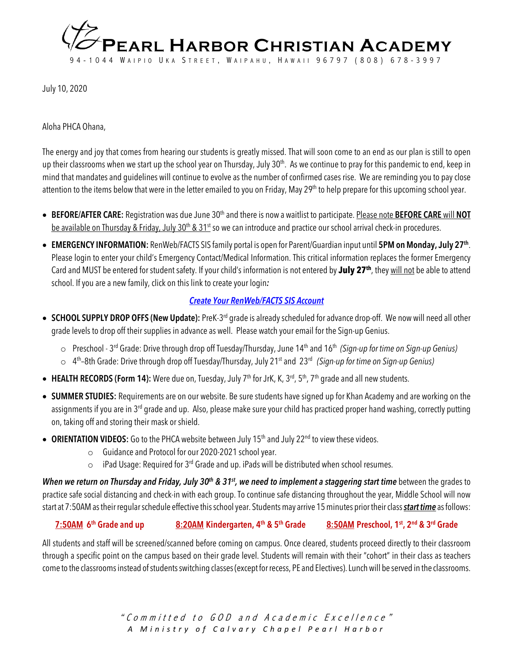

July 10, 2020

Aloha PHCA Ohana,

The energy and joy that comes from hearing our students is greatly missed. That will soon come to an end as our plan is still to open up their classrooms when we start up the school year on Thursday, July 30<sup>th</sup>. As we continue to pray for this pandemic to end, keep in mind that mandates and guidelines will continue to evolve as the number of confirmed cases rise. We are reminding you to payclose attention to the items below that were in the letter emailed to you on Friday, May 29<sup>th</sup> to help prepare for this upcoming school year.

- **BEFORE/AFTER CARE:** Registration was due June 30th and there is now a waitlist to participate. Please note **BEFORE CARE** will **NOT** be available on Thursday & Friday, July 30<sup>th</sup> & 31<sup>st</sup> so we can introduce and practice our school arrival check-in procedures.
- **EMERGENCY INFORMATION:** RenWeb/FACTS SIS family portal is open for Parent/Guardian input until **5PM on Monday, July 27th**. Please login to enter your child's Emergency Contact/Medical Information. This critical information replaces the former Emergency Card and MUST be entered for student safety. If your child's information is not entered by **July 27th**, they will not be able to attend school. If you are a new family, click on this link to create your login*:*

## *Create Your RenWeb/FACTS SIS Account*

- **SCHOOL SUPPLY DROP OFFS (New Update):** PreK-3rd grade is already scheduled for advance drop-off. We now will need all other grade levels to drop off their supplies in advance as well. Please watch your email for the Sign-up Genius.
	- o Preschool 3rd Grade: Drive through drop off Tuesday/Thursday, June 14th and 16th *(Sign-up for time on Sign-up Genius)*
	- o 4th –8th Grade: Drive through drop off Tuesday/Thursday, July 21st and 23rd *(Sign-up for time on Sign-up Genius)*
- HEALTH RECORDS (Form 14): Were due on, Tuesday, July 7<sup>th</sup> for JrK, K, 3<sup>rd</sup>, 5<sup>th</sup>, 7<sup>th</sup> grade and all new students.
- **SUMMER STUDIES:** Requirements are on our website. Be sure students have signed up for Khan Academy and are working on the assignments if you are in 3<sup>rd</sup> grade and up. Also, please make sure your child has practiced proper hand washing, correctly putting on, taking off and storing their mask or shield.
- ORIENTATION VIDEOS: Go to the PHCA website between July 15<sup>th</sup> and July 22<sup>nd</sup> to view these videos.
	- o Guidance and Protocol for our 2020-2021 school year.
	- iPad Usage: Required for 3<sup>rd</sup> Grade and up. iPads will be distributed when school resumes.

*When we return on Thursday and Friday, July 30th & 31st , we need to implement a staggering start time* between the grades to practice safe social distancing and check-in with each group. To continue safe distancing throughout the year, Middle School will now start at 7:50AM as their regular schedule effective this school year. Students may arrive 15 minutes prior their class *start time* as follows:

## **7:50AM 6th Grade and up 8:20AM Kindergarten, 4th & 5th Grade 8:50AM Preschool, 1st, 2nd & 3rd Grade**

All students and staff will be screened/scanned before coming on campus. Once cleared, students proceed directly to their classroom through a specific point on the campus based on their grade level. Students will remain with their "cohort" in their class as teachers come to the classrooms instead of students switching classes(except for recess, PE and Electives). Lunch will be served in the classrooms.

> "Committed to GOD and Academic Excellence" *A Ministry of Calvary Chapel Pearl Harbor*